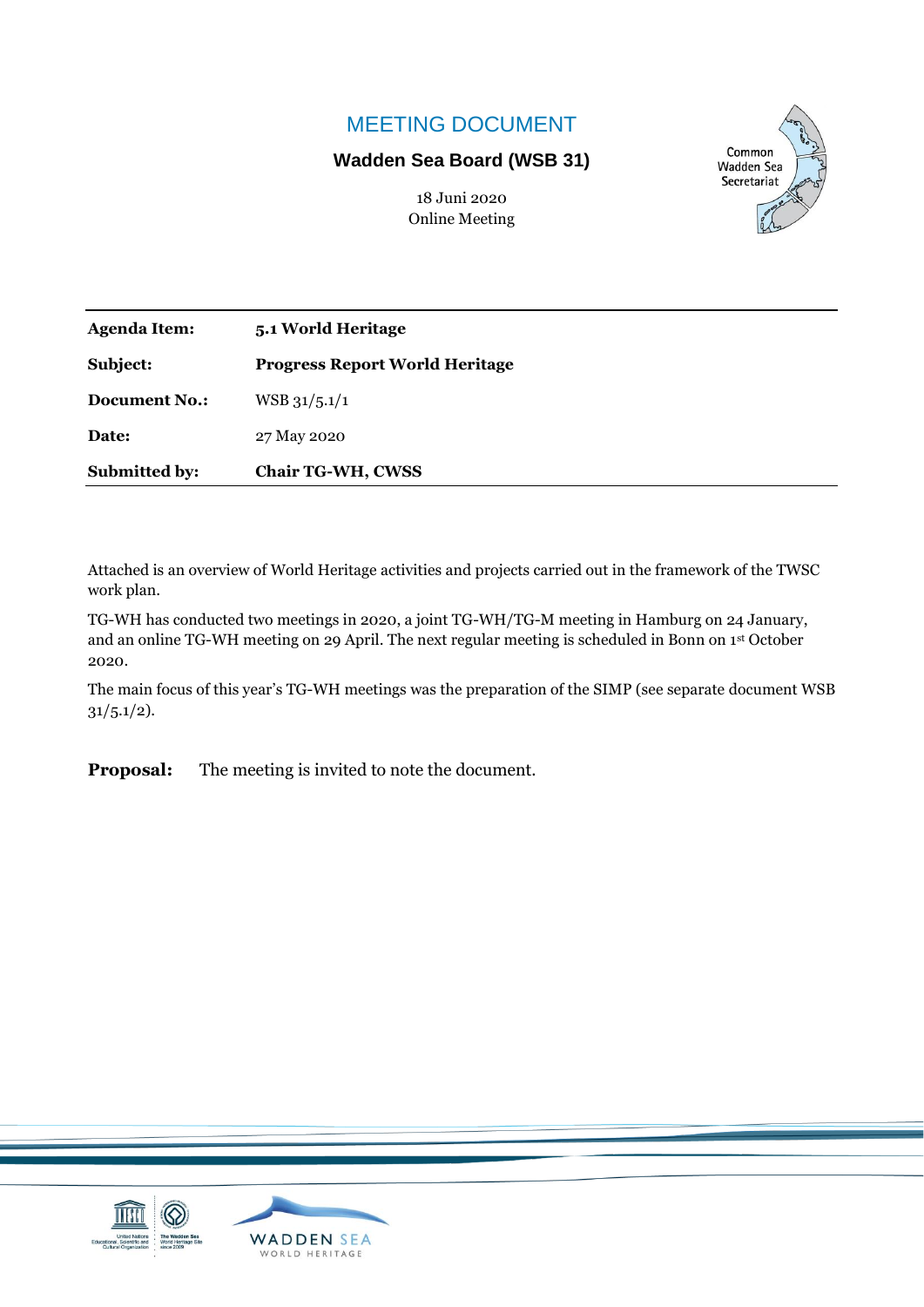## MEETING DOCUMENT

## **Wadden Sea Board (WSB 31)**

Common **Wadden Sea** Secretariat

| 18 Juni 2020          |
|-----------------------|
| <b>Online Meeting</b> |

| <b>Agenda Item:</b>  | 5.1 World Heritage                    |
|----------------------|---------------------------------------|
| Subject:             | <b>Progress Report World Heritage</b> |
| <b>Document No.:</b> | $WSB$ 31/5.1/1                        |
| Date:                | 27 May 2020                           |
| <b>Submitted by:</b> | <b>Chair TG-WH, CWSS</b>              |

Attached is an overview of World Heritage activities and projects carried out in the framework of the TWSC work plan.

TG-WH has conducted two meetings in 2020, a joint TG-WH/TG-M meeting in Hamburg on 24 January, and an online TG-WH meeting on 29 April. The next regular meeting is scheduled in Bonn on 1st October 2020.

The main focus of this year's TG-WH meetings was the preparation of the SIMP (see separate document WSB  $31/5.1/2$ ).

**Proposal:** The meeting is invited to note the document.

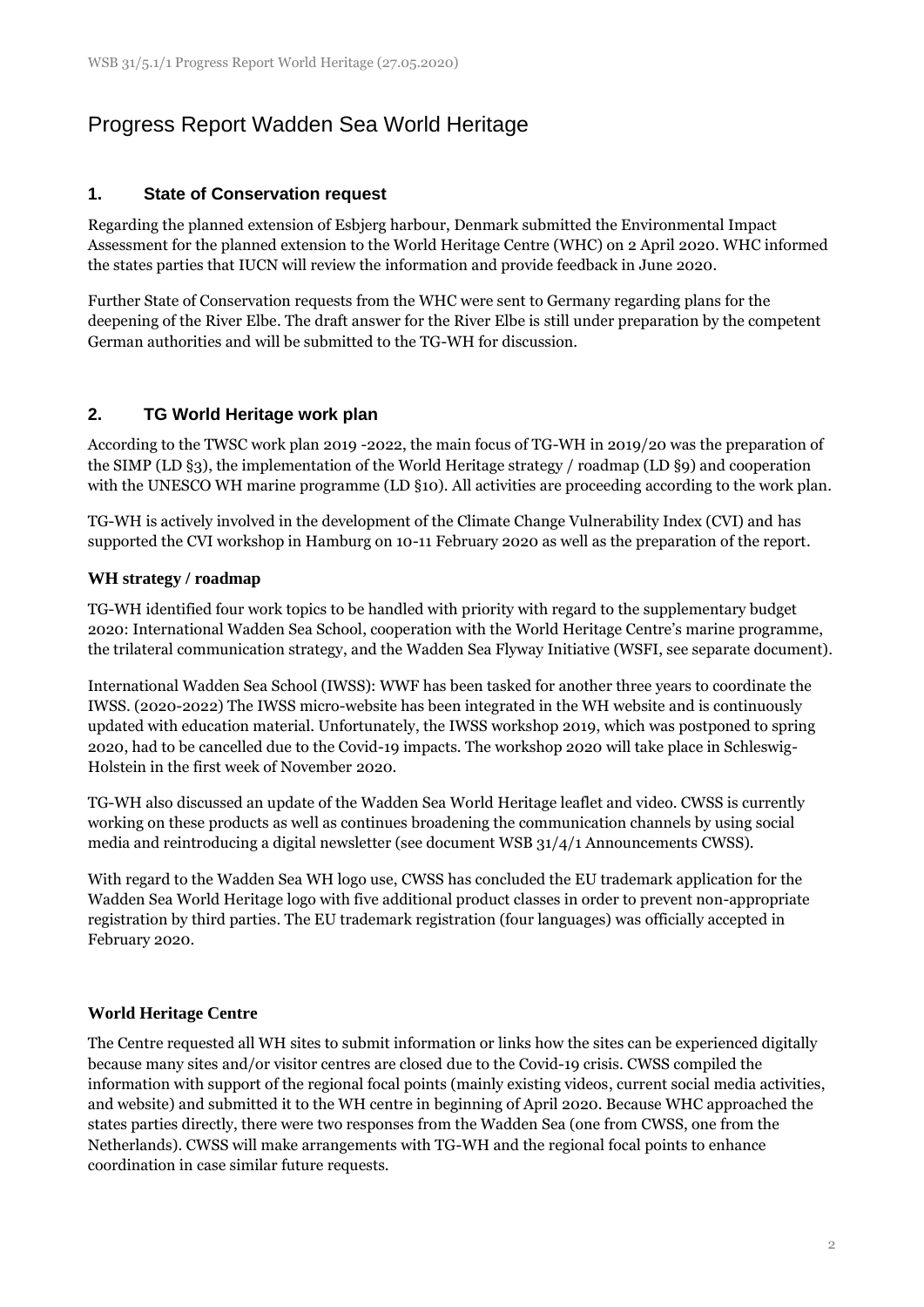# Progress Report Wadden Sea World Heritage

### **1. State of Conservation request**

Regarding the planned extension of Esbjerg harbour, Denmark submitted the Environmental Impact Assessment for the planned extension to the World Heritage Centre (WHC) on 2 April 2020. WHC informed the states parties that IUCN will review the information and provide feedback in June 2020.

Further State of Conservation requests from the WHC were sent to Germany regarding plans for the deepening of the River Elbe. The draft answer for the River Elbe is still under preparation by the competent German authorities and will be submitted to the TG-WH for discussion.

### **2. TG World Heritage work plan**

According to the TWSC work plan 2019 -2022, the main focus of TG-WH in 2019/20 was the preparation of the SIMP (LD §3), the implementation of the World Heritage strategy / roadmap (LD §9) and cooperation with the UNESCO WH marine programme (LD §10). All activities are proceeding according to the work plan.

TG-WH is actively involved in the development of the Climate Change Vulnerability Index (CVI) and has supported the CVI workshop in Hamburg on 10-11 February 2020 as well as the preparation of the report.

#### **WH strategy / roadmap**

TG-WH identified four work topics to be handled with priority with regard to the supplementary budget 2020: International Wadden Sea School, cooperation with the World Heritage Centre's marine programme, the trilateral communication strategy, and the Wadden Sea Flyway Initiative (WSFI, see separate document).

International Wadden Sea School (IWSS): WWF has been tasked for another three years to coordinate the IWSS. (2020-2022) The IWSS micro-website has been integrated in the WH website and is continuously updated with education material. Unfortunately, the IWSS workshop 2019, which was postponed to spring 2020, had to be cancelled due to the Covid-19 impacts. The workshop 2020 will take place in Schleswig-Holstein in the first week of November 2020.

TG-WH also discussed an update of the Wadden Sea World Heritage leaflet and video. CWSS is currently working on these products as well as continues broadening the communication channels by using social media and reintroducing a digital newsletter (see document WSB 31/4/1 Announcements CWSS).

With regard to the Wadden Sea WH logo use, CWSS has concluded the EU trademark application for the Wadden Sea World Heritage logo with five additional product classes in order to prevent non-appropriate registration by third parties. The EU trademark registration (four languages) was officially accepted in February 2020.

#### **World Heritage Centre**

The Centre requested all WH sites to submit information or links how the sites can be experienced digitally because many sites and/or visitor centres are closed due to the Covid-19 crisis. CWSS compiled the information with support of the regional focal points (mainly existing videos, current social media activities, and website) and submitted it to the WH centre in beginning of April 2020. Because WHC approached the states parties directly, there were two responses from the Wadden Sea (one from CWSS, one from the Netherlands). CWSS will make arrangements with TG-WH and the regional focal points to enhance coordination in case similar future requests.